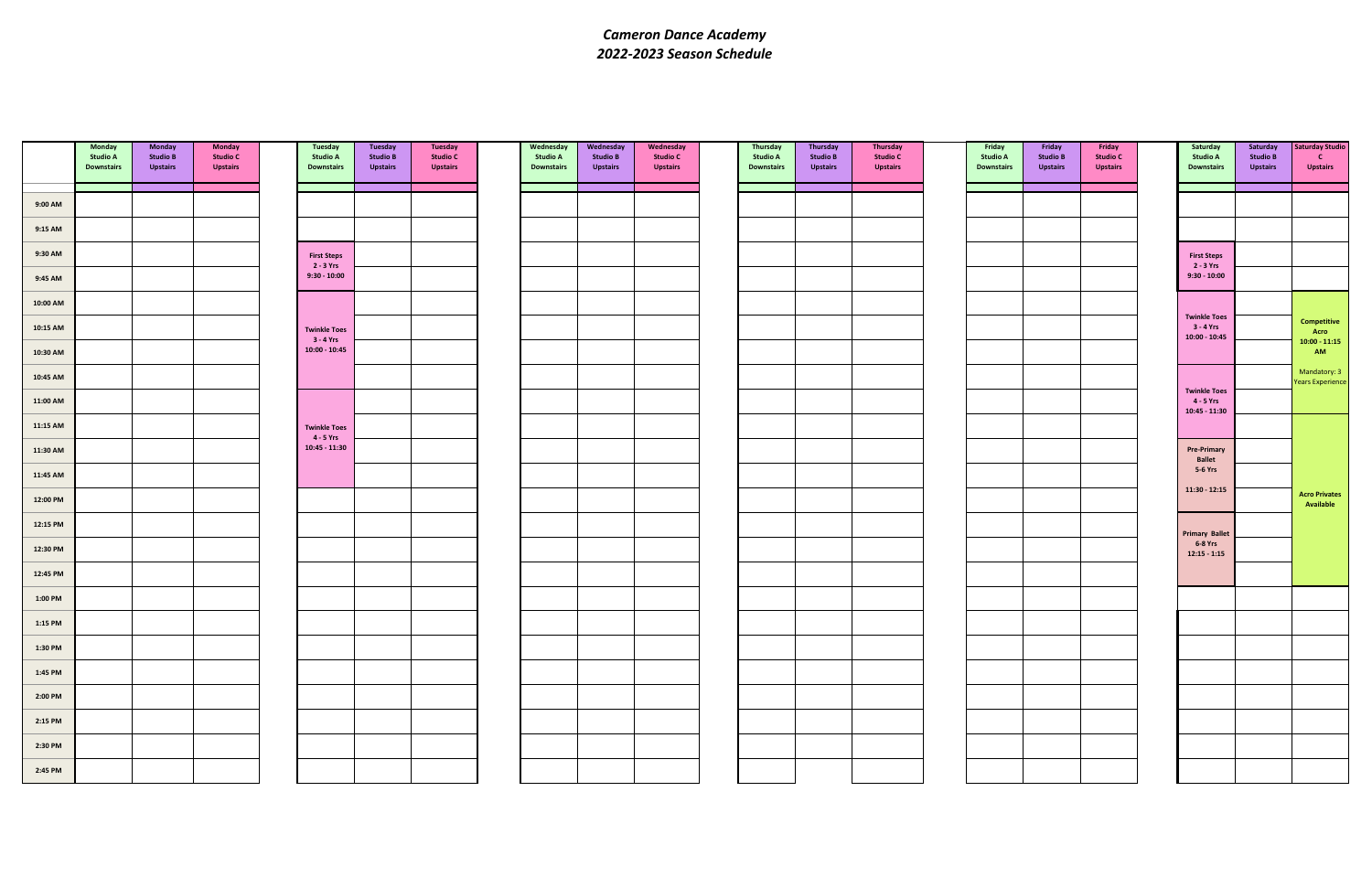## *Cameron Dance Academy 2022-2023 Season Schedule*

|          | Monday<br><b>Studio A</b><br><b>Downstairs</b> | Monday<br><b>Studio B</b><br><b>Upstairs</b> | <b>Monday</b><br><b>Studio C</b><br><b>Upstairs</b> | Tuesday<br><b>Studio A</b><br><b>Downstairs</b> | Tuesday<br><b>Studio B</b><br><b>Upstairs</b> | Tuesday<br><b>Studio C</b><br><b>Upstairs</b> | Wednesday<br><b>Studio A</b><br><b>Downstairs</b> | Wednesday<br><b>Studio B</b><br><b>Upstairs</b> | Wednesday<br><b>Studio C</b><br><b>Upstairs</b> | Thursday<br><b>Studio A</b><br><b>Downstairs</b> | Thursday<br><b>Studio B</b><br><b>Upstairs</b> | Thursday<br><b>Studio C</b><br><b>Upstairs</b> | Friday<br><b>Studio A</b><br><b>Downstairs</b> | Friday<br><b>Studio B</b><br><b>Upstairs</b> | Friday<br><b>Studio C</b><br><b>Upstairs</b> | Saturday<br><b>Studio A</b><br><b>Downstairs</b> | Saturday<br><b>Studio B</b><br><b>Upstairs</b> | Saturday Studio<br>$\mathbf{C}$<br><b>Upstairs</b> |
|----------|------------------------------------------------|----------------------------------------------|-----------------------------------------------------|-------------------------------------------------|-----------------------------------------------|-----------------------------------------------|---------------------------------------------------|-------------------------------------------------|-------------------------------------------------|--------------------------------------------------|------------------------------------------------|------------------------------------------------|------------------------------------------------|----------------------------------------------|----------------------------------------------|--------------------------------------------------|------------------------------------------------|----------------------------------------------------|
| 9:00 AM  |                                                |                                              |                                                     |                                                 |                                               |                                               |                                                   |                                                 |                                                 |                                                  |                                                |                                                |                                                |                                              |                                              |                                                  |                                                |                                                    |
|          |                                                |                                              |                                                     |                                                 |                                               |                                               |                                                   |                                                 |                                                 |                                                  |                                                |                                                |                                                |                                              |                                              |                                                  |                                                |                                                    |
| 9:15 AM  |                                                |                                              |                                                     |                                                 |                                               |                                               |                                                   |                                                 |                                                 |                                                  |                                                |                                                |                                                |                                              |                                              |                                                  |                                                |                                                    |
| 9:30 AM  |                                                |                                              |                                                     | <b>First Steps</b><br>2 - 3 Yrs                 |                                               |                                               |                                                   |                                                 |                                                 |                                                  |                                                |                                                |                                                |                                              |                                              | <b>First Steps</b><br>2 - 3 Yrs                  |                                                |                                                    |
| 9:45 AM  |                                                |                                              |                                                     | $9:30 - 10:00$                                  |                                               |                                               |                                                   |                                                 |                                                 |                                                  |                                                |                                                |                                                |                                              |                                              | $9:30 - 10:00$                                   |                                                |                                                    |
| 10:00 AM |                                                |                                              |                                                     |                                                 |                                               |                                               |                                                   |                                                 |                                                 |                                                  |                                                |                                                |                                                |                                              |                                              | <b>Twinkle Toes</b>                              |                                                | Competitive                                        |
| 10:15 AM |                                                |                                              |                                                     | <b>Twinkle Toes</b><br>3 - 4 Yrs                |                                               |                                               |                                                   |                                                 |                                                 |                                                  |                                                |                                                |                                                |                                              |                                              | 3 - 4 Yrs<br>$10:00 - 10:45$                     |                                                | Acro<br>$10:00 - 11:15$                            |
| 10:30 AM |                                                |                                              |                                                     | $10:00 - 10:45$                                 |                                               |                                               |                                                   |                                                 |                                                 |                                                  |                                                |                                                |                                                |                                              |                                              |                                                  |                                                | AM                                                 |
| 10:45 AM |                                                |                                              |                                                     |                                                 |                                               |                                               |                                                   |                                                 |                                                 |                                                  |                                                |                                                |                                                |                                              |                                              | <b>Twinkle Toes</b>                              |                                                | Mandatory: 3<br><b>Years Experience</b>            |
| 11:00 AM |                                                |                                              |                                                     |                                                 |                                               |                                               |                                                   |                                                 |                                                 |                                                  |                                                |                                                |                                                |                                              |                                              | 4 - 5 Yrs<br>$10:45 - 11:30$                     |                                                |                                                    |
| 11:15 AM |                                                |                                              |                                                     | <b>Twinkle Toes</b><br>$4 - 5$ Yrs              |                                               |                                               |                                                   |                                                 |                                                 |                                                  |                                                |                                                |                                                |                                              |                                              |                                                  |                                                |                                                    |
| 11:30 AM |                                                |                                              |                                                     | $10:45 - 11:30$                                 |                                               |                                               |                                                   |                                                 |                                                 |                                                  |                                                |                                                |                                                |                                              |                                              | <b>Pre-Primary</b><br>Ballet                     |                                                |                                                    |
| 11:45 AM |                                                |                                              |                                                     |                                                 |                                               |                                               |                                                   |                                                 |                                                 |                                                  |                                                |                                                |                                                |                                              |                                              | 5-6 Yrs                                          |                                                |                                                    |
| 12:00 PM |                                                |                                              |                                                     |                                                 |                                               |                                               |                                                   |                                                 |                                                 |                                                  |                                                |                                                |                                                |                                              |                                              | $11:30 - 12:15$                                  |                                                | <b>Acro Privates</b><br>Available                  |
| 12:15 PM |                                                |                                              |                                                     |                                                 |                                               |                                               |                                                   |                                                 |                                                 |                                                  |                                                |                                                |                                                |                                              |                                              | <b>Primary Ballet</b>                            |                                                |                                                    |
| 12:30 PM |                                                |                                              |                                                     |                                                 |                                               |                                               |                                                   |                                                 |                                                 |                                                  |                                                |                                                |                                                |                                              |                                              | 6-8 Yrs<br>$12:15 - 1:15$                        |                                                |                                                    |
| 12:45 PM |                                                |                                              |                                                     |                                                 |                                               |                                               |                                                   |                                                 |                                                 |                                                  |                                                |                                                |                                                |                                              |                                              |                                                  |                                                |                                                    |
| 1:00 PM  |                                                |                                              |                                                     |                                                 |                                               |                                               |                                                   |                                                 |                                                 |                                                  |                                                |                                                |                                                |                                              |                                              |                                                  |                                                |                                                    |
| 1:15 PM  |                                                |                                              |                                                     |                                                 |                                               |                                               |                                                   |                                                 |                                                 |                                                  |                                                |                                                |                                                |                                              |                                              |                                                  |                                                |                                                    |
| 1:30 PM  |                                                |                                              |                                                     |                                                 |                                               |                                               |                                                   |                                                 |                                                 |                                                  |                                                |                                                |                                                |                                              |                                              |                                                  |                                                |                                                    |
| 1:45 PM  |                                                |                                              |                                                     |                                                 |                                               |                                               |                                                   |                                                 |                                                 |                                                  |                                                |                                                |                                                |                                              |                                              |                                                  |                                                |                                                    |
| 2:00 PM  |                                                |                                              |                                                     |                                                 |                                               |                                               |                                                   |                                                 |                                                 |                                                  |                                                |                                                |                                                |                                              |                                              |                                                  |                                                |                                                    |
| 2:15 PM  |                                                |                                              |                                                     |                                                 |                                               |                                               |                                                   |                                                 |                                                 |                                                  |                                                |                                                |                                                |                                              |                                              |                                                  |                                                |                                                    |
| 2:30 PM  |                                                |                                              |                                                     |                                                 |                                               |                                               |                                                   |                                                 |                                                 |                                                  |                                                |                                                |                                                |                                              |                                              |                                                  |                                                |                                                    |
|          |                                                |                                              |                                                     |                                                 |                                               |                                               |                                                   |                                                 |                                                 |                                                  |                                                |                                                |                                                |                                              |                                              |                                                  |                                                |                                                    |
| 2:45 PM  |                                                |                                              |                                                     |                                                 |                                               |                                               |                                                   |                                                 |                                                 |                                                  |                                                |                                                |                                                |                                              |                                              |                                                  |                                                |                                                    |